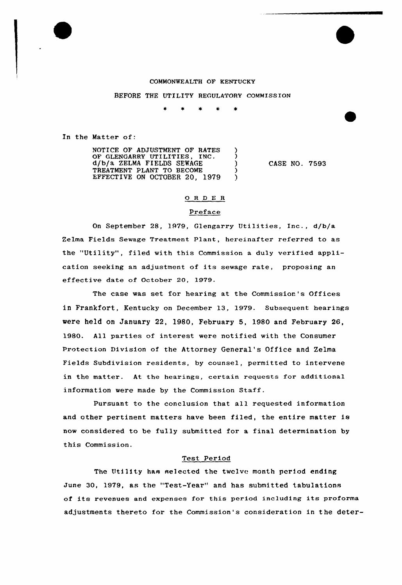#### COMMONWEALTH OF KENTUCKY

BEFORE THE UTILITY REGULATORY COMMISSION

 $\star$  $\ddot{\phantom{a}}$  $\pmb{\times}$  $\ast$ 

In the Matter of:

NOTICE OF ADJUSTMENT OF RATES OF GLENGARRY UTILITIES, INC. d/b/a ZELMA FIELDS SEWAGE  $\mathcal{E}$ TREATMENT PLANT TO BECOME  $\lambda$ EFFECTIVE ON OCTOBER 20, 1979  $\mathcal{E}$ 

CASE NO. 7593

### O R D E R

### Preface

On September 28, 1979, Glengarry Utilities, Inc., d/b/a Zelma Fields Sewage Treatment Plant, hereinafter referred to as the "Utility", filed with this Commission <sup>a</sup> duly verified application seeking an adjustment of its sewage rate, proposing an effective date of October 20, 1979.

The case was set for hearing at the Commission's Offices in Frankfort, Kentucky on December l3, 1979. Subsequent hearings were held on January 22, 1980, February 5, 1980 and February 26, 1980. All parties of interest were notified with the Consumer Protection Division of the Attorney General's Office and Zelma Fields Subdivision residents, by counsel, permitted to intervene in the matter. At the hearings, certain requests for additional information were made by the Commission Staff.

Pursuant to the conclusion that all requested information and other pertinent matters have been filed, the entire matter is now considered to be fully submitted for a final determination by this Commission.

### Test Period

The Utility has selected the twolve month period ending June 30, 1979, as the "Test-Year" and has submitted tabulations of its revenues and expenses for this period including its proforma adjustments thereto for the Commission's consideration in the deter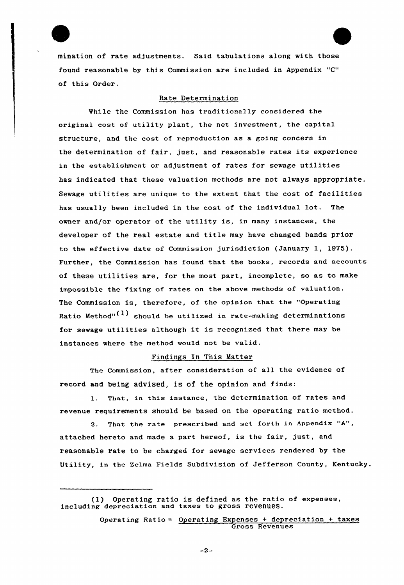mination of rate adjustments. Said tabulations along with those found reasonable by this Commission are included in Appendix "C" of this Order.

# Rate Determination

While the Commission has traditionally considered the original cost of utility plant, the net investment, the capital structure, and the cost of reproduction as a going concern in the determination of fair, just, and reasonable rates its experience in the establishment or adjustment of rates for sewage utilities has indicated that these valuation methods are not always appropriate. Sewage utilities are unique to the extent that the cost of facilities has usually been included in the cost of the individual lot. The owner and/or operator of the utility is, in many instances, the developer of the real estate and title may have changed hands prior to the effective date of Commission jurisdiction (January 1, 1975). Further, the Commission has found that the books, records and accounts of these utilities are, for the most part, incomplete, so as to make impossible the fixing of rates on the above methods of valuation. The Commission is, therefore, of the opinion that the "Operating Ratio Method"<sup>(1)</sup> should be utilized in rate-making determinations for sewage utilities although it is recognized that there may be instances where the method would not be valid.

### Findings In This Matter

The Commission, after consideration of all the evidence of record and being advised, is of the opinion and finds:

1. That, in this instance, the determination of rates and revenue requirements should be based on the operating ratio method.

2. That the rate prescribed and set forth in Appendix "A", attached hereto and made a part hereof, is the fair, just, and reasonable rate to be charged for sewage services rendered by the Utility, in the Zelma Fields Subdivision of Jefferson County, Kentucky.

 $-2-$ 

<sup>(1)</sup> Operating ratio is defined as the ratio of expenses, including depreciation and taxes to gross reVenueS.

Operating Ratio = Operating Expenses + depreciation + taxes Gross Revenues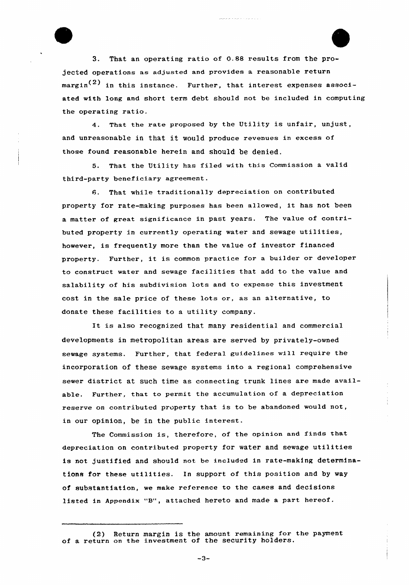3. That an operating ratio of 0.88 results from the projected operations as adjusted and provides a reasonable return margin<sup>(2)</sup> in this instance. Further, that interest expenses associated with long and short term debt should not be included in computing the operating ratio.

. . . . . . . . . . . . .

4. That the rate proposed by the Utility is unfair, unjust, and unreasonable in that it would produce revenues in excess of those found reasonable herein and should be denied.

5. That the Utility has filed with this Commission a valid third-party beneficiary agreement.

6. That while traditionally depreciation on contributed property for rate-making purposes has been allowed, it has not been a matter of great significance in past years. The value of contributed property in currently operating water and sewage utilities, however, is frequently more than the value of investor financed property. Further, it is common practice for <sup>a</sup> builder or developer to construct water and sewage facilities that add to the value and salability of his subdivision lots and to expense this investment cost in the sale price of these lots or, as an alternative, to donate these facilities to a utility company.

It is also recognized that many residential and commercial developments in metropolitan areas are served by privately-owned sewage systems. Further, that federal guidelines wi11 require the incorporation of these sewage systems into a regional comprehensive sewer district at such time as connecting trunk lines are made available. Further, that to permit the accumulation of a depreciation reserve on contributed property that is to be abandoned would not, in our opinion, be in the public interest.

The Commission is, therefore, of the opinion and finds that depreciation on contributed property for water and sewage utilities is not justified and should not be included in rate-making determinations for these utilities. In support of this position and by way of substantiation, we make reference to the cases and decisions listed in Appendix "8", attached hereto and made <sup>a</sup> part hereof.

 $-3-$ 

 $(2)$  Return margin is the amount remaining for the payment of a return on the investment of the security holders.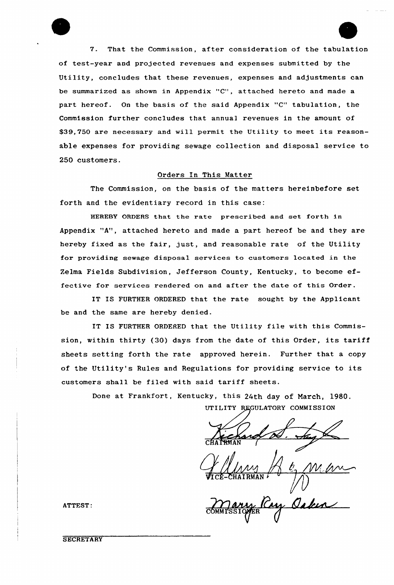7. That the Commission, after consideration of the tabulation of test-year and projected revenues and expenses submitted by the Utility, concludes that these revenues, expenses and adjustments can be summarized as shown in Appendix "C", attached hereto and made a part hereof. On the basis of the said Appendix "C" tabulation, the Commission further concludes that annual revenues in the amount of \$39,750 are necessary and will permit the Utility to meet its reasonable expenses for providing sewage collection and disposal service to 250 customers.

## Orders In This Matter

The Commission, on the basis of the matters hereinbefore set forth and the evidentiary record in this case:

HEREBY ORDERS that the rate prescribed and set forth in Appendix "A", attached hereto and made a part hereof be and they are hereby fixed as the fair, just, and reasonable rate of the Utility for providing sewage disposal services to customers located in the Zelma Fields Subdivision, Jefferson County, Kentucky, to become effective for services rendered on and after the date of this Order.

IT IS FURTHER ORDERED that the rate sought by the Applicant be and the same are hereby denied.

IT IS FURTHER ORDERED that the Utility file with this Commission, within thirty (30) days from the date of this Order, its tariff sheets setting forth the rate approved herein. Further that a copy of the Utility's Rules and Regulations for providing service to its customers shall be filed with said tariff sheets.

> Done at Frankfort, Kentucky, this 24th day of March, 1980. UTILITY REGULATORY COMMISSION

CHAIRMAN (

Www  $VICE-CHATRMAN$ VICE-CHAIRMAN POWER

**COMMISSIQYER** 

**SECRETARY**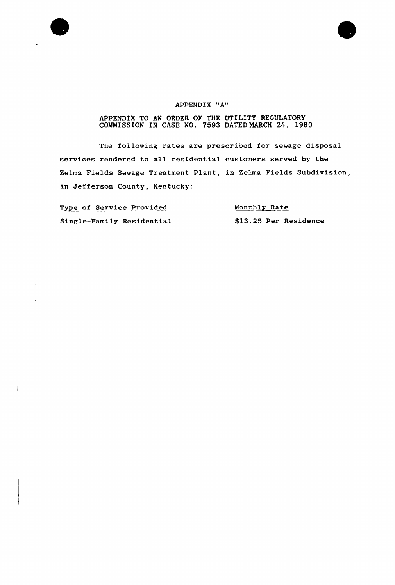



## APPENDIX "A"

## APPENDIX TO AN ORDER OF THE UTILITY REGULATORY COMMISSION IN CASE NO. 7593 DATEDNARCH 24, 1980

The following rates are prescribed for sewage disposal services rendered to all residential customers served by the Zelma Fields Sewage Treatment Plant, in Zelma Fields Subdivision, in Jefferson County, Kentucky:

Type of Service Provided

Single-Family Residential \$13.25 Per Residenc Monthly Rate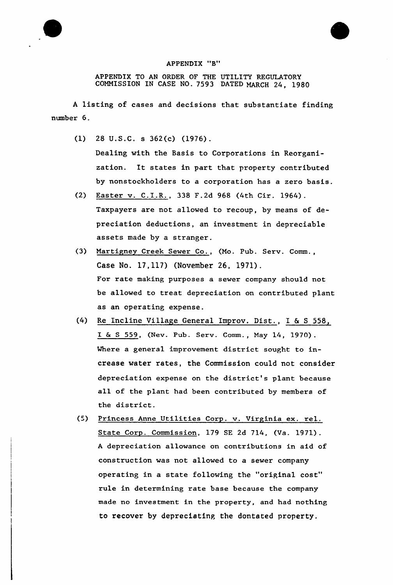

APPENDIX TO AN ORDER OF THE UTILITY REGULATORY COMMISSION IN CASE NO. 7593 DATED MARCH 24, 198Q

<sup>A</sup> listing of cases and decisions that substantiate finding number 6.

- (1) 28 U.S.C. s 362(c) (1976). Dealing with the Basis to Corporations in Reorganization. It states in part that property contributed by nonstockholders to a corporation has a zero basis.
- (2) Easter v. C.I.R., 338 F.2d 968 (4th Cir. 1964). Taxpayers are not allowed to recoup, by means of depreciation deductions, an investment in depreciable assets made by a stranger.
- (3) Martigney Creek Sewer Co., (Mo. Pub. Serv. Comm., Case No. 12,117) (November 26, 1971). For rate making purposes a sewer company should not be allowed to treat depreciation on contributed plant as an operating expense.
- (4) Re Incline Village General Improv. Dist., I <sup>6</sup> <sup>S</sup> 558, I <sup>6</sup> <sup>S</sup> 559, (Nev. Pub. Serv. Comm., Nay 14, 1970). Where a general improvement district sought to increase water rates, the Commission could not consider depreciation expense on the district's plant because all of the plant had been contributed by members of the district.
- (5) Princess Anne Utilities Corp. v. Virginia ex. rel. State Corp. Commission, 179 SE 2d 714, (Va. 1971). <sup>A</sup> depreciation allowance on contributions in aid of construction was not allowed to a sewer company operating in a state following the "original cost" rule in determining rate base because the company made no investment in the property, and had nothing to recover by depreciating the dontated property,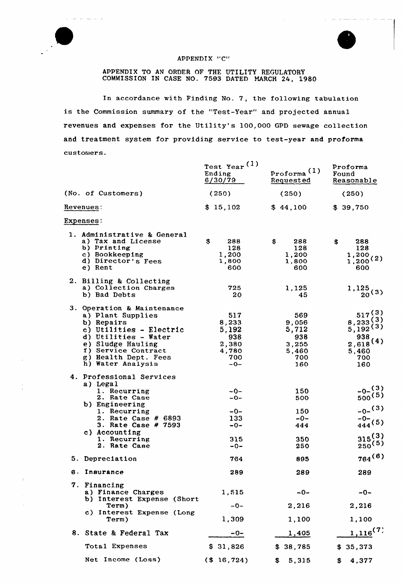

 $\omega_{\rm max}$  and



#### APPENDIX "C"

APPENDIX TO AN ORDER OF THE UTILITY REGULATORY COMMISSION IN CASE NO. 7593 DATED MARCH 24, 1980

In accordance with Finding No. 7, the following tabulation is the Commission summary of the "Test-Year" and projected annual revenues and expenses for the Utility's 100,000 GPD sewage collection and treatment system for providing service to test-year and proforma customers.

|                                                                                                                                                                                                           | Test Year <sup>(1)</sup><br>Ending<br>6/30/79                  | Proforma <sup>(1)</sup><br>Requested                         | Proforma<br>Found<br>Reasonable                                               |
|-----------------------------------------------------------------------------------------------------------------------------------------------------------------------------------------------------------|----------------------------------------------------------------|--------------------------------------------------------------|-------------------------------------------------------------------------------|
| (No. of Customers)                                                                                                                                                                                        | (250)                                                          | (250)                                                        | (250)                                                                         |
| <b>Revenues:</b>                                                                                                                                                                                          | \$15,102                                                       | \$44,100                                                     | \$39,750                                                                      |
| Expenses:                                                                                                                                                                                                 |                                                                |                                                              |                                                                               |
| 1. Administrative & General<br>a) Tax and License<br>b) Printing<br>c) Bookkeeping<br>d) Director's Fees<br>e) Rent                                                                                       | $\mathbf{\$}$<br>288<br>128<br>1,200<br>1,800<br>600           | \$<br>288<br>128<br>1,200<br>1,800<br>600                    | 288<br>\$<br>128<br>1,200,<br>1,200(2)<br>600                                 |
| 2. Billing & Collecting<br>a) Collection Charges<br>b) Bad Debts                                                                                                                                          | 725<br>20                                                      | 1,125<br>45                                                  | 1,125<br>$20^{(3)}$                                                           |
| 3. Operation & Maintenance<br>a) Plant Supplies<br>b) Repairs<br>c) Utilities - Electric<br>d) Utilities - Water<br>e) Sludge Hauling<br>f) Service Contract<br>g) Health Dept. Fees<br>h) Water Analysis | 517<br>8,233<br>5,192<br>938<br>2,380<br>4,780<br>700<br>$-0-$ | 569<br>9,056<br>5,712<br>938<br>3,255<br>5,460<br>700<br>160 | 517(3)<br>8,233(3)<br>5,192(3)<br>938<br>$2,618^{(4)}$<br>5,460<br>700<br>160 |
| 4. Professional Services<br>a) Legal<br>1. Recurring<br>2. Rate Case<br>b) Engineering<br>1. Recurring<br>2. Rate Case # 6893<br>3. Rate Case # 7593<br>c) Accounting<br>1. Recurring<br>2. Rate Case     | $-0-$<br>$-0-$<br>$-0-$<br>133<br>$-0-$<br>315<br>-0-          | 150<br>500<br>150<br>$-0-$<br>444<br>350<br>250              | $-0-$ (3)<br>$500^{(5)}$<br>$-0-$ (3)<br>$-0-$<br>444(5)<br>315(3)<br>250(5)  |
| 5. Depreciation                                                                                                                                                                                           | 764                                                            | 895                                                          | $764^{(6)}$                                                                   |
| 6. Insurance                                                                                                                                                                                              | 289                                                            | 289                                                          | 289                                                                           |
| 7. Financing<br>a) Finance Charges<br>b) Interest Expense (Short                                                                                                                                          | 1,515                                                          | $-0-$                                                        | $-0-$                                                                         |
| Term)<br>c) Interest Expense (Long<br>Term)                                                                                                                                                               | $-0-$<br>1,309                                                 | 2,216<br>1,100                                               | 2,216<br>1,100                                                                |
| 8. State & Federal Tax                                                                                                                                                                                    | $-0-$                                                          | 1,405                                                        | $1,116^{(7)}$                                                                 |
| Total Expenses                                                                                                                                                                                            | \$31,826                                                       | \$38,785                                                     | \$35,373                                                                      |
| Net Income (Loss)                                                                                                                                                                                         | $($ \$ 16,724)                                                 | 5,315<br>\$                                                  | 4,377<br>\$                                                                   |